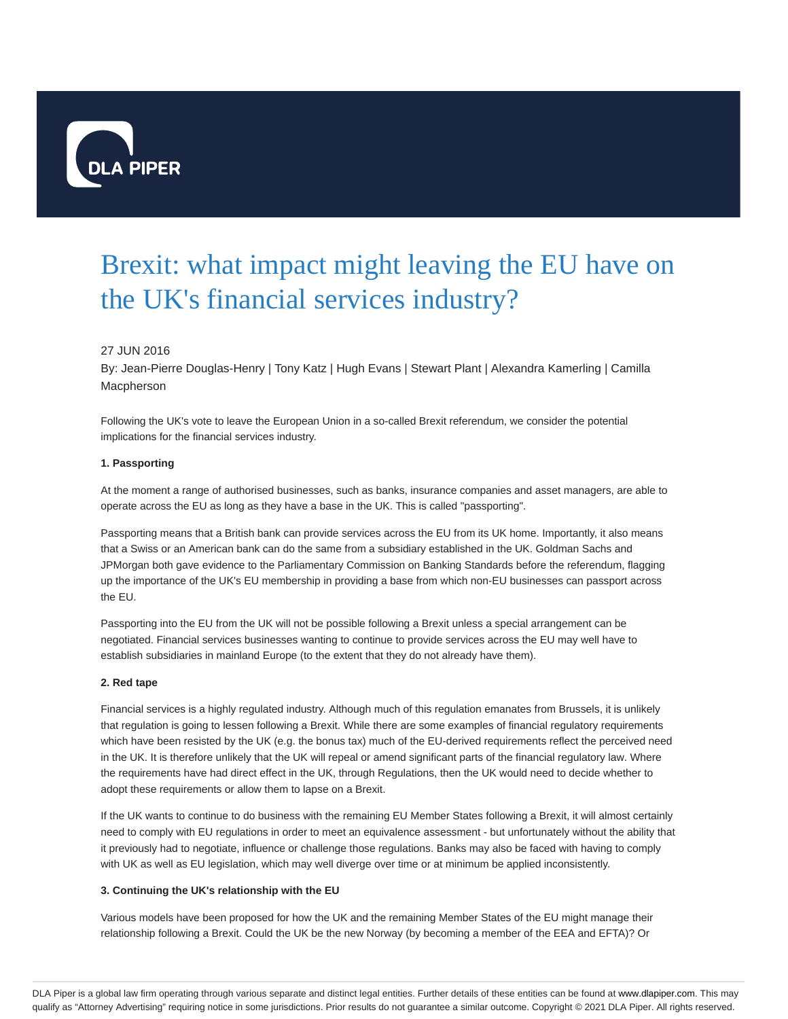

# Brexit: what impact might leaving the EU have on the UK's financial services industry?

## 27 JUN 2016

By: Jean-Pierre Douglas-Henry | Tony Katz | Hugh Evans | Stewart Plant | Alexandra Kamerling | Camilla Macpherson

Following the UK's vote to leave the European Union in a so-called Brexit referendum, we consider the potential implications for the financial services industry.

#### **1. Passporting**

At the moment a range of authorised businesses, such as banks, insurance companies and asset managers, are able to operate across the EU as long as they have a base in the UK. This is called "passporting".

Passporting means that a British bank can provide services across the EU from its UK home. Importantly, it also means that a Swiss or an American bank can do the same from a subsidiary established in the UK. Goldman Sachs and JPMorgan both gave evidence to the Parliamentary Commission on Banking Standards before the referendum, flagging up the importance of the UK's EU membership in providing a base from which non-EU businesses can passport across the EU.

Passporting into the EU from the UK will not be possible following a Brexit unless a special arrangement can be negotiated. Financial services businesses wanting to continue to provide services across the EU may well have to establish subsidiaries in mainland Europe (to the extent that they do not already have them).

#### **2. Red tape**

Financial services is a highly regulated industry. Although much of this regulation emanates from Brussels, it is unlikely that regulation is going to lessen following a Brexit. While there are some examples of financial regulatory requirements which have been resisted by the UK (e.g. the bonus tax) much of the EU-derived requirements reflect the perceived need in the UK. It is therefore unlikely that the UK will repeal or amend significant parts of the financial regulatory law. Where the requirements have had direct effect in the UK, through Regulations, then the UK would need to decide whether to adopt these requirements or allow them to lapse on a Brexit.

If the UK wants to continue to do business with the remaining EU Member States following a Brexit, it will almost certainly need to comply with EU regulations in order to meet an equivalence assessment - but unfortunately without the ability that it previously had to negotiate, influence or challenge those regulations. Banks may also be faced with having to comply with UK as well as EU legislation, which may well diverge over time or at minimum be applied inconsistently.

#### **3. Continuing the UK's relationship with the EU**

Various models have been proposed for how the UK and the remaining Member States of the EU might manage their relationship following a Brexit. Could the UK be the new Norway (by becoming a member of the EEA and EFTA)? Or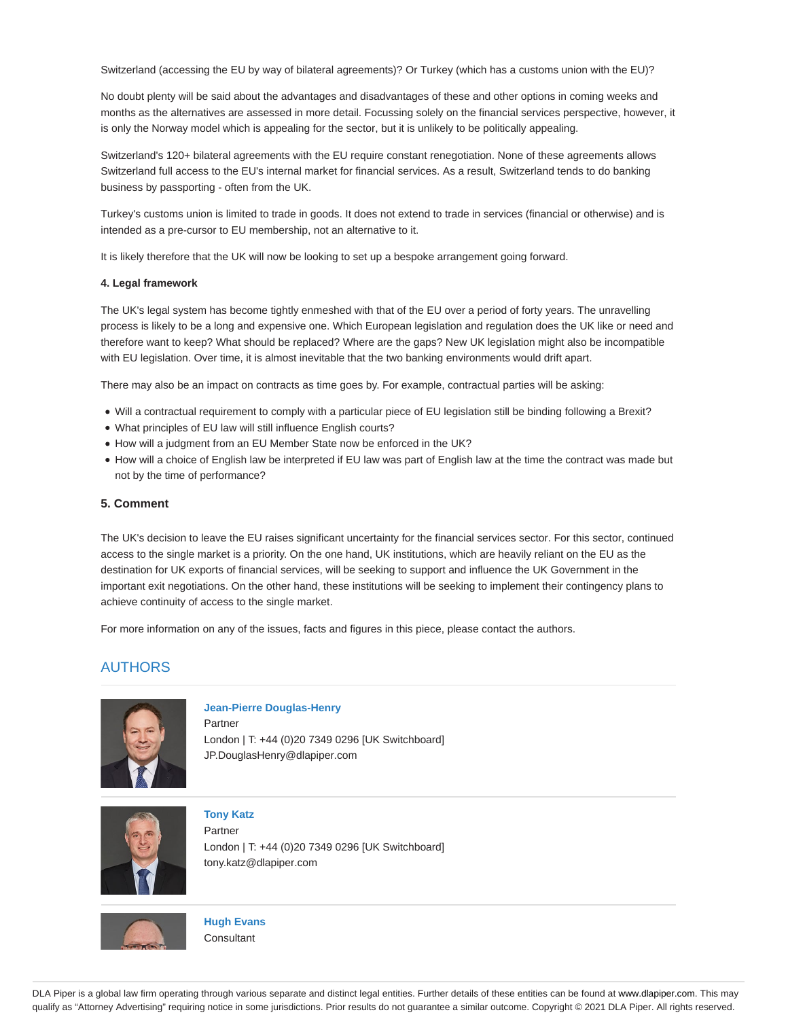Switzerland (accessing the EU by way of bilateral agreements)? Or Turkey (which has a customs union with the EU)?

No doubt plenty will be said about the advantages and disadvantages of these and other options in coming weeks and months as the alternatives are assessed in more detail. Focussing solely on the financial services perspective, however, it is only the Norway model which is appealing for the sector, but it is unlikely to be politically appealing.

Switzerland's 120+ bilateral agreements with the EU require constant renegotiation. None of these agreements allows Switzerland full access to the EU's internal market for financial services. As a result, Switzerland tends to do banking business by passporting - often from the UK.

Turkey's customs union is limited to trade in goods. It does not extend to trade in services (financial or otherwise) and is intended as a pre-cursor to EU membership, not an alternative to it.

It is likely therefore that the UK will now be looking to set up a bespoke arrangement going forward.

#### **4. Legal framework**

The UK's legal system has become tightly enmeshed with that of the EU over a period of forty years. The unravelling process is likely to be a long and expensive one. Which European legislation and regulation does the UK like or need and therefore want to keep? What should be replaced? Where are the gaps? New UK legislation might also be incompatible with EU legislation. Over time, it is almost inevitable that the two banking environments would drift apart.

There may also be an impact on contracts as time goes by. For example, contractual parties will be asking:

- Will a contractual requirement to comply with a particular piece of EU legislation still be binding following a Brexit?
- What principles of EU law will still influence English courts?
- How will a judgment from an EU Member State now be enforced in the UK?
- How will a choice of English law be interpreted if EU law was part of English law at the time the contract was made but not by the time of performance?

#### **5. Comment**

The UK's decision to leave the EU raises significant uncertainty for the financial services sector. For this sector, continued access to the single market is a priority. On the one hand, UK institutions, which are heavily reliant on the EU as the destination for UK exports of financial services, will be seeking to support and influence the UK Government in the important exit negotiations. On the other hand, these institutions will be seeking to implement their contingency plans to achieve continuity of access to the single market.

For more information on any of the issues, facts and figures in this piece, please contact the authors.

# AUTHORS



**Jean-Pierre Douglas-Henry**

Partner London | T: +44 (0)20 7349 0296 [UK Switchboard] JP.DouglasHenry@dlapiper.com



**Tony Katz** Partner

London | T: +44 (0)20 7349 0296 [UK Switchboard] tony.katz@dlapiper.com



**Hugh Evans Consultant** 

DLA Piper is a global law firm operating through various separate and distinct legal entities. Further details of these entities can be found at www.dlapiper.com. This may qualify as "Attorney Advertising" requiring notice in some jurisdictions. Prior results do not guarantee a similar outcome. Copyright © 2021 DLA Piper. All rights reserved.